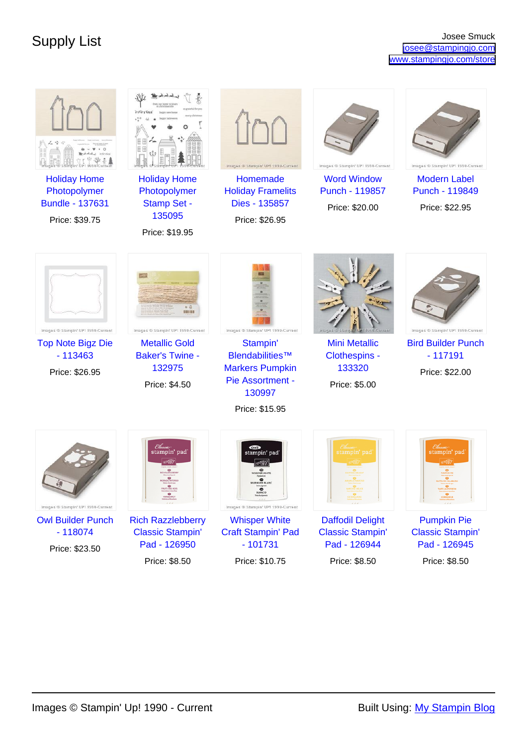